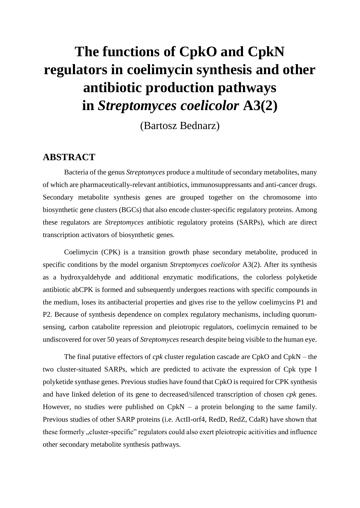## **The functions of CpkO and CpkN regulators in coelimycin synthesis and other antibiotic production pathways in** *Streptomyces coelicolor* **A3(2)**

(Bartosz Bednarz)

## **ABSTRACT**

Bacteria of the genus *Streptomyces* produce a multitude of secondary metabolites, many of which are pharmaceutically-relevant antibiotics, immunosuppressants and anti-cancer drugs. Secondary metabolite synthesis genes are grouped together on the chromosome into biosynthetic gene clusters (BGCs) that also encode cluster-specific regulatory proteins. Among these regulators are *Streptomyces* antibiotic regulatory proteins (SARPs), which are direct transcription activators of biosynthetic genes.

Coelimycin (CPK) is a transition growth phase secondary metabolite, produced in specific conditions by the model organism *Streptomyces coelicolor* A3(2). After its synthesis as a hydroxyaldehyde and additional enzymatic modifications, the colorless polyketide antibiotic abCPK is formed and subsequently undergoes reactions with specific compounds in the medium, loses its antibacterial properties and gives rise to the yellow coelimycins P1 and P2. Because of synthesis dependence on complex regulatory mechanisms, including quorumsensing, carbon catabolite repression and pleiotropic regulators, coelimycin remained to be undiscovered for over 50 years of *Streptomyces* research despite being visible to the human eye.

The final putative effectors of *cpk* cluster regulation cascade are CpkO and CpkN – the two cluster-situated SARPs, which are predicted to activate the expression of Cpk type I polyketide synthase genes. Previous studies have found that CpkO is required for CPK synthesis and have linked deletion of its gene to decreased/silenced transcription of chosen *cpk* genes. However, no studies were published on CpkN – a protein belonging to the same family. Previous studies of other SARP proteins (i.e. ActII-orf4, RedD, RedZ, CdaR) have shown that these formerly "cluster-specific" regulators could also exert pleiotropic acitivities and influence other secondary metabolite synthesis pathways.